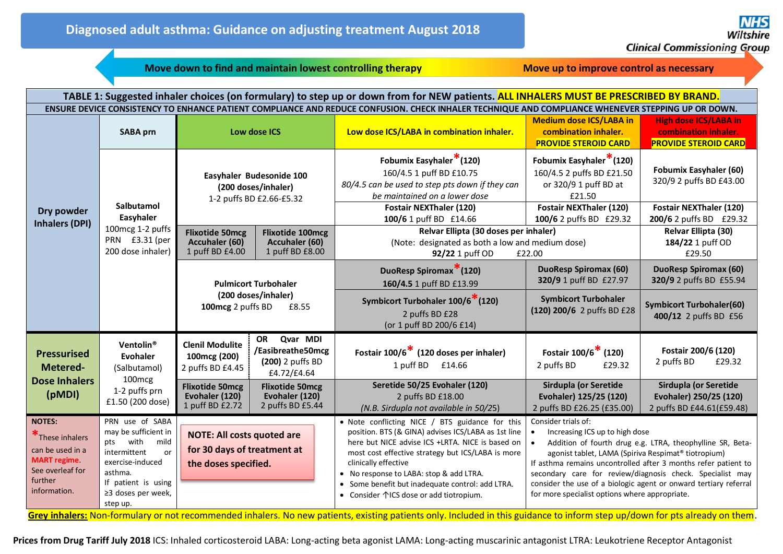**Move down to find and maintain lowest controlling therapy <b>***Move up to improve control as necessary* 

| TABLE 1: Suggested inhaler choices (on formulary) to step up or down from for NEW patients. ALL INHALERS MUST BE PRESCRIBED BY BRAND.                                                                                                                                                                                                                            |                                                                                                                                                                                         |                                                                                                                                                |                                                                     |                                                                                                                                                                                                                                                                                                                                                                                                                                                                                                                 |                                                                                                                                                                                                                                                                                                                                                                                                                                                                                                                                       |                                                                                                                       |  |  |
|------------------------------------------------------------------------------------------------------------------------------------------------------------------------------------------------------------------------------------------------------------------------------------------------------------------------------------------------------------------|-----------------------------------------------------------------------------------------------------------------------------------------------------------------------------------------|------------------------------------------------------------------------------------------------------------------------------------------------|---------------------------------------------------------------------|-----------------------------------------------------------------------------------------------------------------------------------------------------------------------------------------------------------------------------------------------------------------------------------------------------------------------------------------------------------------------------------------------------------------------------------------------------------------------------------------------------------------|---------------------------------------------------------------------------------------------------------------------------------------------------------------------------------------------------------------------------------------------------------------------------------------------------------------------------------------------------------------------------------------------------------------------------------------------------------------------------------------------------------------------------------------|-----------------------------------------------------------------------------------------------------------------------|--|--|
| ENSURE DEVICE CONSISTENCY TO ENHANCE PATIENT COMPLIANCE AND REDUCE CONFUSION. CHECK INHALER TECHNIQUE AND COMPLIANCE WHENEVER STEPPING UP OR DOWN.                                                                                                                                                                                                               |                                                                                                                                                                                         |                                                                                                                                                |                                                                     |                                                                                                                                                                                                                                                                                                                                                                                                                                                                                                                 |                                                                                                                                                                                                                                                                                                                                                                                                                                                                                                                                       |                                                                                                                       |  |  |
| Dry powder<br><b>Inhalers (DPI)</b>                                                                                                                                                                                                                                                                                                                              | <b>SABA prn</b>                                                                                                                                                                         | Low dose ICS                                                                                                                                   |                                                                     | Low dose ICS/LABA in combination inhaler.                                                                                                                                                                                                                                                                                                                                                                                                                                                                       | <b>Medium dose ICS/LABA in</b><br>combination inhaler.<br><b>PROVIDE STEROID CARD</b>                                                                                                                                                                                                                                                                                                                                                                                                                                                 | <b>High dose ICS/LABA in</b><br>combination inhaler.<br><b>PROVIDE STEROID CARD</b>                                   |  |  |
|                                                                                                                                                                                                                                                                                                                                                                  | <b>Salbutamol</b><br>Easyhaler<br>100mcg 1-2 puffs<br>PRN £3.31 (per<br>200 dose inhaler)                                                                                               | Easyhaler Budesonide 100<br>(200 doses/inhaler)<br>1-2 puffs BD £2.66-£5.32                                                                    |                                                                     | Fobumix Easyhaler <sup>*</sup> (120)<br>160/4.5 1 puff BD £10.75<br>80/4.5 can be used to step pts down if they can<br>be maintained on a lower dose<br><b>Fostair NEXThaler (120)</b><br>100/6 1 puff BD £14.66                                                                                                                                                                                                                                                                                                | Fobumix Easyhaler <sup>*</sup> (120)<br>160/4.5 2 puffs BD £21.50<br>or 320/9 1 puff BD at<br>£21.50<br>Fostair NEXThaler (120)<br>100/6 2 puffs BD £29.32                                                                                                                                                                                                                                                                                                                                                                            | <b>Fobumix Easyhaler (60)</b><br>320/9 2 puffs BD £43.00<br><b>Fostair NEXThaler (120)</b><br>200/6 2 puffs BD £29.32 |  |  |
|                                                                                                                                                                                                                                                                                                                                                                  |                                                                                                                                                                                         | <b>Flixotide 50mcg</b><br>Accuhaler (60)<br>1 puff BD £4.00                                                                                    | <b>Flixotide 100mcg</b><br>Accuhaler (60)<br>1 puff BD £8.00        | Relvar Ellipta (30 doses per inhaler)<br>(Note: designated as both a low and medium dose)<br>92/22 1 puff OD<br>£22.00                                                                                                                                                                                                                                                                                                                                                                                          |                                                                                                                                                                                                                                                                                                                                                                                                                                                                                                                                       | Relvar Ellipta (30)<br>184/22 1 puff OD<br>£29.50                                                                     |  |  |
|                                                                                                                                                                                                                                                                                                                                                                  |                                                                                                                                                                                         | <b>Pulmicort Turbohaler</b><br>(200 doses/inhaler)<br>100mcg 2 puffs BD<br>£8.55                                                               |                                                                     | DuoResp Spiromax <sup>*</sup> (120)<br>160/4.5 1 puff BD £13.99                                                                                                                                                                                                                                                                                                                                                                                                                                                 | <b>DuoResp Spiromax (60)</b><br>320/9 1 puff BD £27.97                                                                                                                                                                                                                                                                                                                                                                                                                                                                                | <b>DuoResp Spiromax (60)</b><br>320/9 2 puffs BD £55.94                                                               |  |  |
|                                                                                                                                                                                                                                                                                                                                                                  |                                                                                                                                                                                         |                                                                                                                                                |                                                                     | Symbicort Turbohaler 100/6 <sup>*</sup> (120)<br>2 puffs BD £28<br>(or 1 puff BD 200/6 £14)                                                                                                                                                                                                                                                                                                                                                                                                                     | <b>Symbicort Turbohaler</b><br>(120) 200/6 2 puffs BD £28                                                                                                                                                                                                                                                                                                                                                                                                                                                                             | <b>Symbicort Turbohaler(60)</b><br>400/12 2 puffs BD £56                                                              |  |  |
| <b>Pressurised</b><br>Metered-<br><b>Dose Inhalers</b><br>(pMDI)                                                                                                                                                                                                                                                                                                 | Ventolin <sup>®</sup><br>Evohaler<br>(Salbutamol)<br>100 <sub>mcg</sub><br>1-2 puffs prn<br>£1.50 (200 dose)                                                                            | <b>Clenil Modulite</b><br>100mcg (200)<br>2 puffs BD £4.45                                                                                     | OR Qvar MDI<br>/Easibreathe50mcg<br>(200) 2 puffs BD<br>£4.72/£4.64 | Fostair 100/6 <sup>*</sup> (120 doses per inhaler)<br>1 puff BD £14.66                                                                                                                                                                                                                                                                                                                                                                                                                                          | Fostair $100/6$ <sup>*</sup> (120)<br>2 puffs BD<br>£29.32                                                                                                                                                                                                                                                                                                                                                                                                                                                                            | Fostair 200/6 (120)<br>2 puffs BD<br>£29.32                                                                           |  |  |
|                                                                                                                                                                                                                                                                                                                                                                  |                                                                                                                                                                                         | <b>Flixotide 50mcg</b><br>Evohaler (120)<br>1 puff BD £2.72                                                                                    | <b>Flixotide 50mcg</b><br>Evohaler (120)<br>2 puffs BD £5.44        | Seretide 50/25 Evohaler (120)<br>2 puffs BD £18.00<br>(N.B. Sirdupla not available in 50/25)                                                                                                                                                                                                                                                                                                                                                                                                                    | Sirdupla (or Seretide<br>Evohaler) 125/25 (120)<br>2 puffs BD £26.25 (£35.00)                                                                                                                                                                                                                                                                                                                                                                                                                                                         | Sirdupla (or Seretide<br>Evohaler) 250/25 (120)<br>2 puffs BD £44.61(£59.48)                                          |  |  |
| <b>NOTES:</b><br>These inhalers<br>can be used in a<br><b>MART</b> regime<br>See overleaf for<br>further<br>information.<br><u>in the second contract of the second second and second the second second and second second and second and second and second and second and second and second and second and second and second and second and second and secon</u> | PRN use of SABA<br>may be sufficient in<br>with<br>mild<br>pts<br>intermittent<br><sub>or</sub><br>exercise-induced<br>asthma.<br>If patient is using<br>≥3 doses per week,<br>step up. | <b>NOTE: All costs quoted are</b><br>for 30 days of treatment at<br>the doses specified.<br><b>The Committee Committee Committee Committee</b> |                                                                     | • Note conflicting NICE / BTS guidance for this<br>position. BTS (& GINA) advises ICS/LABA as 1st line<br>here but NICE advise ICS +LRTA. NICE is based on<br>most cost effective strategy but ICS/LABA is more<br>clinically effective<br>• No response to LABA: stop & add LTRA.<br>• Some benefit but inadequate control: add LTRA.<br>• Consider $\bigwedge$ ICS dose or add tiotropium.<br>the contract of the contract of the contract of the contract of the contract of the contract of the contract of | Consider trials of:<br>Increasing ICS up to high dose<br>Addition of fourth drug e.g. LTRA, theophylline SR, Beta-<br>agonist tablet, LAMA (Spiriva Respimat® tiotropium)<br>If asthma remains uncontrolled after 3 months refer patient to<br>secondary care for review/diagnosis check. Specialist may<br>consider the use of a biologic agent or onward tertiary referral<br>for more specialist options where appropriate.<br><b><i>Contract Contract Contract Contract</i></b><br>$\mathbf{r}$ and $\mathbf{r}$ and $\mathbf{r}$ |                                                                                                                       |  |  |

**Grey inhalers:** Non-formulary or not recommended inhalers. No new patients, existing patients only. Included in this guidance to inform step up/down for pts already on them.

**Prices from Drug Tariff July 2018** ICS: Inhaled corticosteroid LABA: Long-acting beta agonist LAMA: Long-acting muscarinic antagonist LTRA: Leukotriene Receptor Antagonist